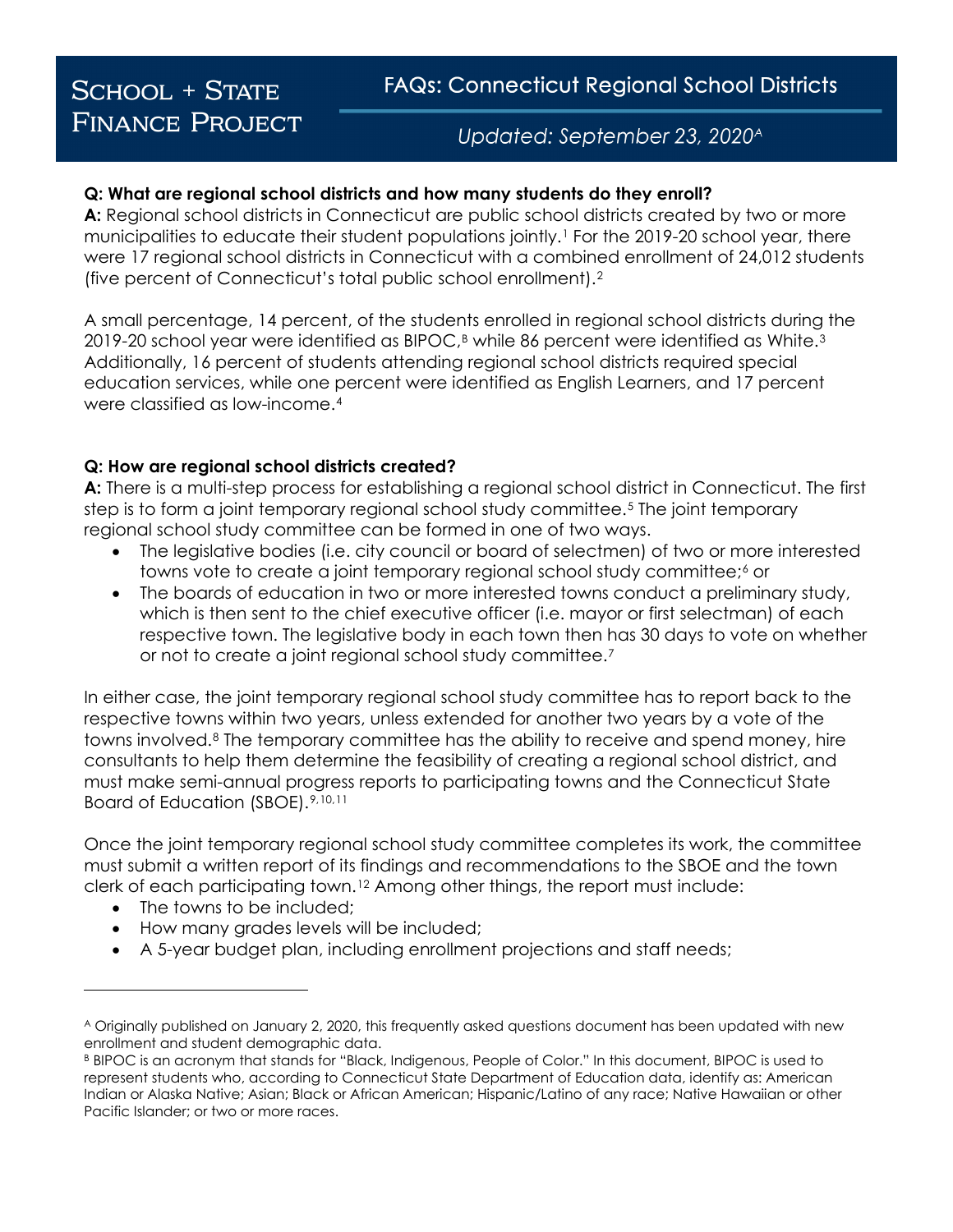# **SCHOOL + STATE FINANCE PROJECT**

Updated: September 23, 2020<sup>A</sup>

#### **Q: What are regional school districts and how many students do they enroll?**

**A:** Regional school districts in Connecticut are public school districts created by two or more municipalities to educate their student populations jointly[.1](#page-3-0) For the 2019-20 school year, there were 17 regional school districts in Connecticut with a combined enrollment of 24,012 students (five percent of Connecticut's total public school enrollment).[2](#page-3-1) 

A small percentage, 14 percent, of the students enrolled in regional school districts during the 2019-20 school year were identified as BIPOC,<sup>B</sup> while 86 percent were identified as White.<sup>[3](#page-3-2)</sup> Additionally, 16 percent of students attending regional school districts required special education services, while one percent were identified as English Learners, and 17 percent were classified as low-income.[4](#page-3-3)

#### **Q: How are regional school districts created?**

**A:** There is a multi-step process for establishing a regional school district in Connecticut. The first step is to form a joint temporary regional school study committee.[5](#page-3-4) The joint temporary regional school study committee can be formed in one of two ways.

- The legislative bodies (i.e. city council or board of selectmen) of two or more interested towns vote to create a joint temporary regional school study committee;<sup>[6](#page-3-5)</sup> or
- The boards of education in two or more interested towns conduct a preliminary study, which is then sent to the chief executive officer (i.e. mayor or first selectman) of each respective town. The legislative body in each town then has 30 days to vote on whether or not to create a joint regional school study committee.[7](#page-3-6)

In either case, the joint temporary regional school study committee has to report back to the respective towns within two years, unless extended for another two years by a vote of the towns involved.[8](#page-3-7) The temporary committee has the ability to receive and spend money, hire consultants to help them determine the feasibility of creating a regional school district, and must make semi-annual progress reports to participating towns and the Connecticut State Board of Education (SBOE).[9](#page-3-8),[10](#page-3-9),[11](#page-3-10)

Once the joint temporary regional school study committee completes its work, the committee must submit a written report of its findings and recommendations to the SBOE and the town clerk of each participating town.[12](#page-3-11) Among other things, the report must include:

• The towns to be included;

i<br>I

- How many grades levels will be included;
- A 5-year budget plan, including enrollment projections and staff needs;

<span id="page-0-0"></span><sup>A</sup> Originally published on January 2, 2020, this frequently asked questions document has been updated with new enrollment and student demographic data.

<span id="page-0-1"></span><sup>B</sup> BIPOC is an acronym that stands for "Black, Indigenous, People of Color." In this document, BIPOC is used to represent students who, according to Connecticut State Department of Education data, identify as: American Indian or Alaska Native; Asian; Black or African American; Hispanic/Latino of any race; Native Hawaiian or other Pacific Islander; or two or more races.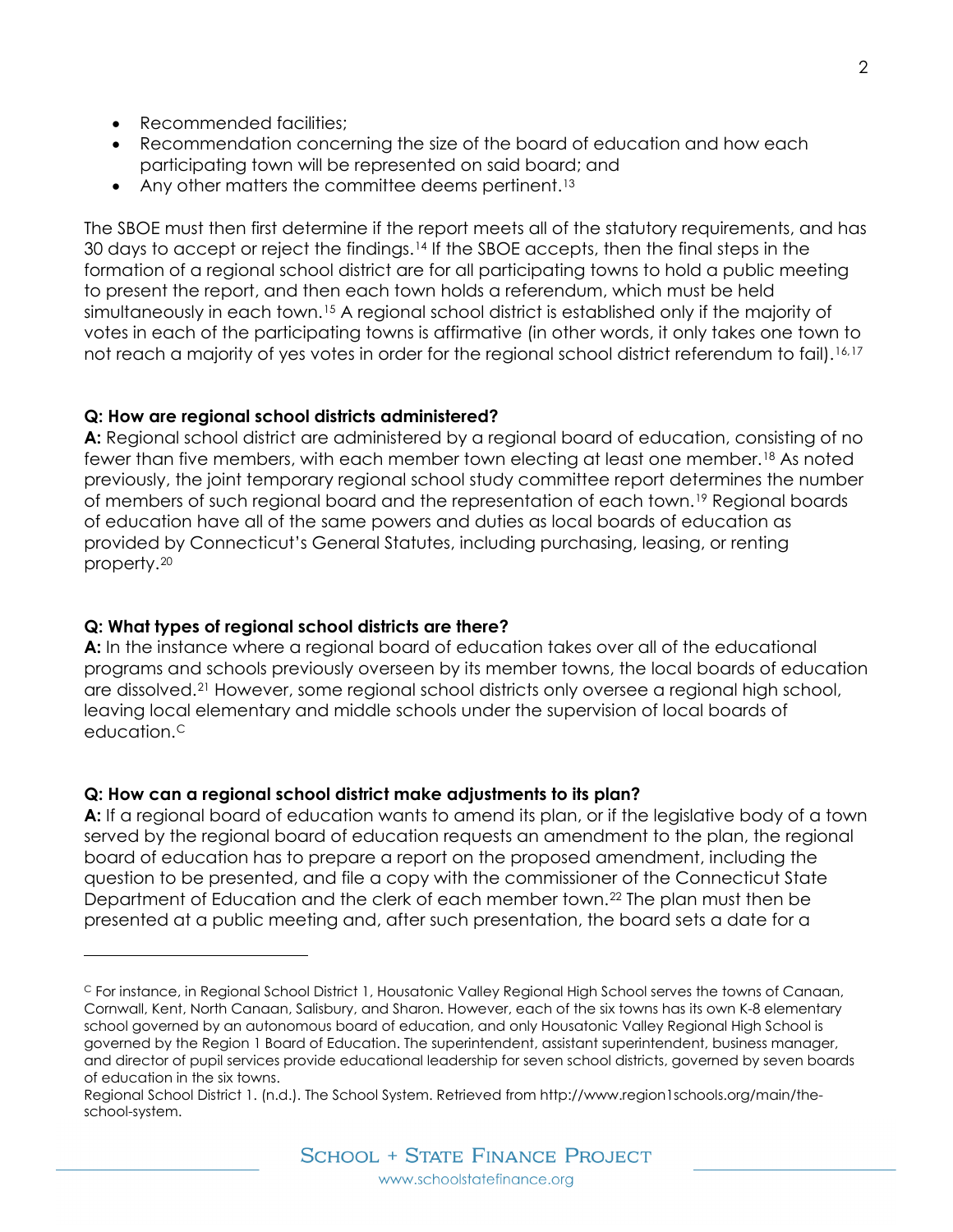- Recommended facilities:
- Recommendation concerning the size of the board of education and how each participating town will be represented on said board; and
- Any other matters the committee deems pertinent.<sup>[13](#page-3-12)</sup>

The SBOE must then first determine if the report meets all of the statutory requirements, and has 30 days to accept or reject the findings.<sup>[14](#page-3-13)</sup> If the SBOE accepts, then the final steps in the formation of a regional school district are for all participating towns to hold a public meeting to present the report, and then each town holds a referendum, which must be held simultaneously in each town.<sup>[15](#page-3-14)</sup> A regional school district is established only if the majority of votes in each of the participating towns is affirmative (in other words, it only takes one town to not reach a majority of yes votes in order for the regional school district referendum to fail).<sup>[16](#page-3-15),[17](#page-3-16)</sup>

## **Q: How are regional school districts administered?**

**A:** Regional school district are administered by a regional board of education, consisting of no fewer than five members, with each member town electing at least one member.[18](#page-3-17) As noted previously, the joint temporary regional school study committee report determines the number of members of such regional board and the representation of each town.[19](#page-3-18) Regional boards of education have all of the same powers and duties as local boards of education as provided by Connecticut's General Statutes, including purchasing, leasing, or renting property.[2](#page-3-19)0

# **Q: What types of regional school districts are there?**

i<br>I

**A:** In the instance where a regional board of education takes over all of the educational programs and schools previously overseen by its member towns, the local boards of education are dissolved.[21](#page-3-20) However, some regional school districts only oversee a regional high school, leaving local elementary and middle schools under the supervision of local boards of education.[C](#page-1-0)

## **Q: How can a regional school district make adjustments to its plan?**

**A:** If a regional board of education wants to amend its plan, or if the legislative body of a town served by the regional board of education requests an amendment to the plan, the regional board of education has to prepare a report on the proposed amendment, including the question to be presented, and file a copy with the commissioner of the Connecticut State Department of Education and the clerk of each member town.<sup>[22](#page-3-21)</sup> The plan must then be presented at a public meeting and, after such presentation, the board sets a date for a

<span id="page-1-0"></span><sup>C</sup> For instance, in Regional School District 1, Housatonic Valley Regional High School serves the towns of Canaan, Cornwall, Kent, North Canaan, Salisbury, and Sharon. However, each of the six towns has its own K-8 elementary school governed by an autonomous board of education, and only Housatonic Valley Regional High School is governed by the Region 1 Board of Education. The superintendent, assistant superintendent, business manager, and director of pupil services provide educational leadership for seven school districts, governed by seven boards of education in the six towns.

Regional School District 1. (n.d.). The School System. Retrieved from http://www.region1schools.org/main/theschool-system.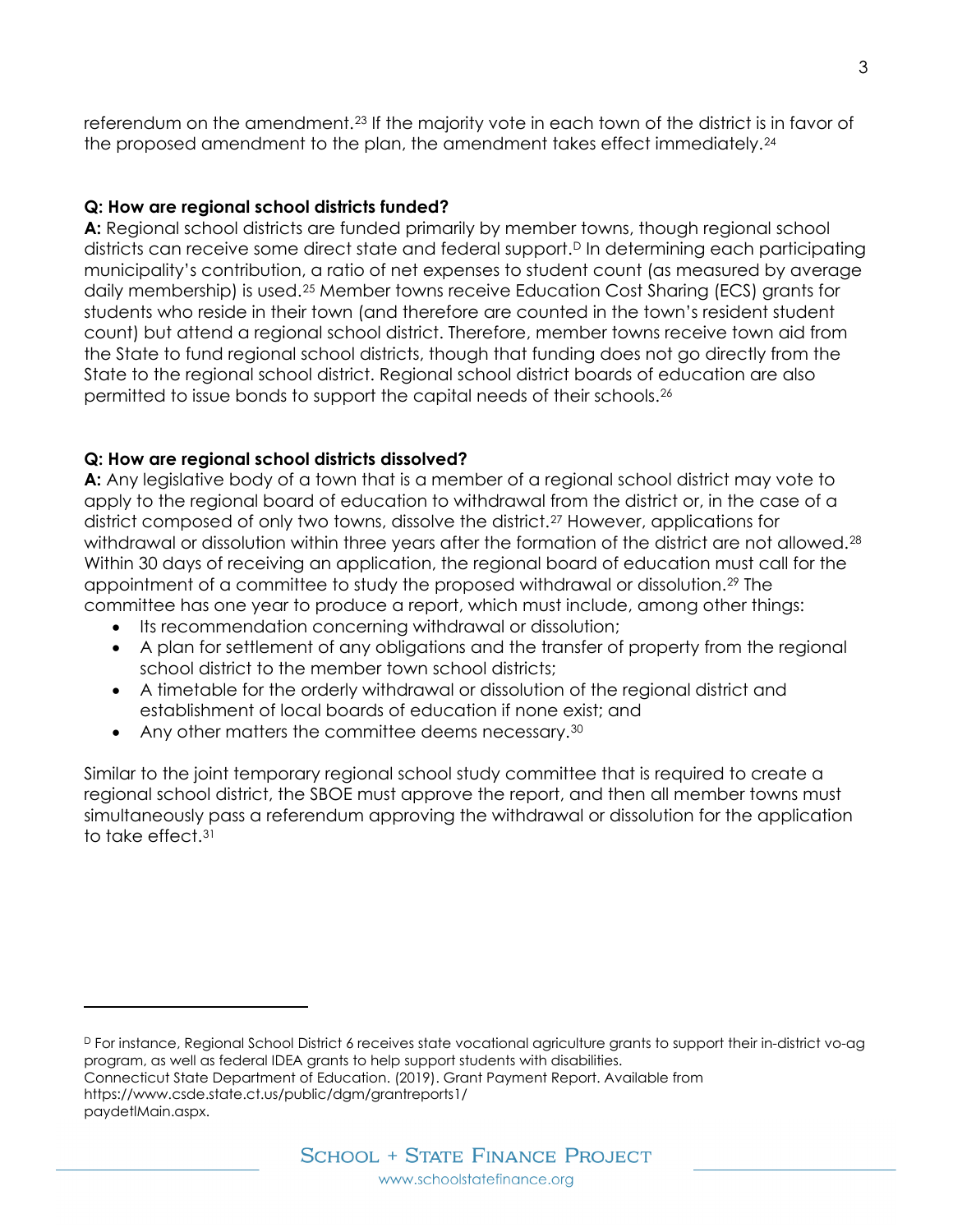referendum on the amendment.[23](#page-3-22) If the majority vote in each town of the district is in favor of the proposed amendment to the plan, the amendment takes effect immediately.[24](#page-3-23)

## **Q: How are regional school districts funded?**

**A:** Regional school districts are funded primarily by member towns, though regional school districts can receive some direct state and federal support.<sup>[D](#page-2-0)</sup> In determining each participating municipality's contribution, a ratio of net expenses to student count (as measured by average daily membership) is used.[25](#page-3-24) Member towns receive Education Cost Sharing (ECS) grants for students who reside in their town (and therefore are counted in the town's resident student count) but attend a regional school district. Therefore, member towns receive town aid from the State to fund regional school districts, though that funding does not go directly from the State to the regional school district. Regional school district boards of education are also permitted to issue bonds to support the capital needs of their schools[.26](#page-3-25)

# **Q: How are regional school districts dissolved?**

**A:** Any legislative body of a town that is a member of a regional school district may vote to apply to the regional board of education to withdrawal from the district or, in the case of a district composed of only two towns, dissolve the district.[27](#page-3-26) However, applications for withdrawal or dissolution within three years after the formation of the district are not allowed.<sup>[28](#page-3-27)</sup> Within 30 days of receiving an application, the regional board of education must call for the appointment of a committee to study the proposed withdrawal or dissolution.[29](#page-3-28) The committee has one year to produce a report, which must include, among other things:

- Its recommendation concerning withdrawal or dissolution;
- A plan for settlement of any obligations and the transfer of property from the regional school district to the member town school districts;
- A timetable for the orderly withdrawal or dissolution of the regional district and establishment of local boards of education if none exist; and
- Any other matters the committee deems necessary.<sup>[30](#page-3-29)</sup>

Similar to the joint temporary regional school study committee that is required to create a regional school district, the SBOE must approve the report, and then all member towns must simultaneously pass a referendum approving the withdrawal or dissolution for the application to take effect[.31](#page-3-30)

<span id="page-2-0"></span><sup>D</sup> For instance, Regional School District 6 receives state vocational agriculture grants to support their in-district vo-ag program, as well as federal IDEA grants to help support students with disabilities. Connecticut State Department of Education. (2019). Grant Payment Report. Available from https://www.csde.state.ct.us/public/dgm/grantreports1/

paydetlMain.aspx.

i<br>I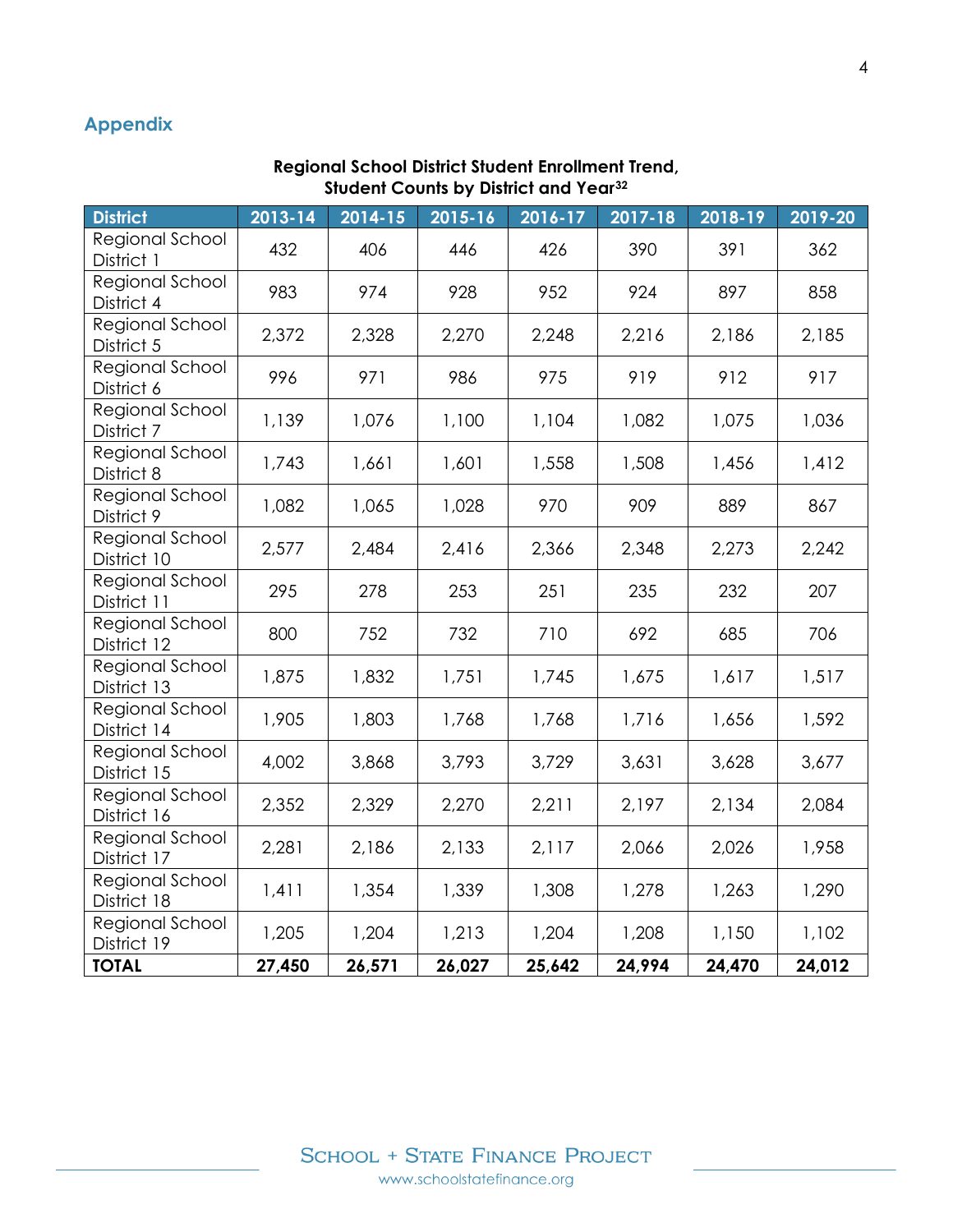# **Appendix**

#### **Regional School District Student Enrollment Trend, Student Counts by District and Year[32](#page-3-31)**

<span id="page-3-31"></span><span id="page-3-30"></span><span id="page-3-29"></span><span id="page-3-28"></span><span id="page-3-27"></span><span id="page-3-26"></span><span id="page-3-25"></span><span id="page-3-24"></span><span id="page-3-23"></span><span id="page-3-22"></span><span id="page-3-21"></span><span id="page-3-20"></span><span id="page-3-19"></span><span id="page-3-18"></span><span id="page-3-17"></span><span id="page-3-16"></span><span id="page-3-15"></span><span id="page-3-14"></span><span id="page-3-13"></span><span id="page-3-12"></span><span id="page-3-11"></span><span id="page-3-10"></span><span id="page-3-9"></span><span id="page-3-8"></span><span id="page-3-7"></span><span id="page-3-6"></span><span id="page-3-5"></span><span id="page-3-4"></span><span id="page-3-3"></span><span id="page-3-2"></span><span id="page-3-1"></span><span id="page-3-0"></span>

| <b>District</b>                | 2013-14 | 2014-15 | 2015-16 | 2016-17 | 2017-18 | 2018-19 | 2019-20 |
|--------------------------------|---------|---------|---------|---------|---------|---------|---------|
| Regional School<br>District 1  | 432     | 406     | 446     | 426     | 390     | 391     | 362     |
| Regional School<br>District 4  | 983     | 974     | 928     | 952     | 924     | 897     | 858     |
| Regional School<br>District 5  | 2,372   | 2,328   | 2,270   | 2,248   | 2,216   | 2,186   | 2,185   |
| Regional School<br>District 6  | 996     | 971     | 986     | 975     | 919     | 912     | 917     |
| Regional School<br>District 7  | 1,139   | 1,076   | 1,100   | 1,104   | 1,082   | 1,075   | 1,036   |
| Regional School<br>District 8  | 1,743   | 1,661   | 1,601   | 1,558   | 1,508   | 1,456   | 1,412   |
| Regional School<br>District 9  | 1,082   | 1,065   | 1,028   | 970     | 909     | 889     | 867     |
| Regional School<br>District 10 | 2,577   | 2,484   | 2,416   | 2,366   | 2,348   | 2,273   | 2,242   |
| Regional School<br>District 11 | 295     | 278     | 253     | 251     | 235     | 232     | 207     |
| Regional School<br>District 12 | 800     | 752     | 732     | 710     | 692     | 685     | 706     |
| Regional School<br>District 13 | 1,875   | 1,832   | 1,751   | 1,745   | 1,675   | 1,617   | 1,517   |
| Regional School<br>District 14 | 1,905   | 1,803   | 1,768   | 1,768   | 1,716   | 1,656   | 1,592   |
| Regional School<br>District 15 | 4,002   | 3,868   | 3,793   | 3,729   | 3,631   | 3,628   | 3,677   |
| Regional School<br>District 16 | 2,352   | 2,329   | 2,270   | 2,211   | 2,197   | 2,134   | 2,084   |
| Regional School<br>District 17 | 2,281   | 2,186   | 2,133   | 2,117   | 2,066   | 2,026   | 1,958   |
| Regional School<br>District 18 | 1,411   | 1,354   | 1,339   | 1,308   | 1,278   | 1,263   | 1,290   |
| Regional School<br>District 19 | 1,205   | 1,204   | 1,213   | 1,204   | 1,208   | 1,150   | 1,102   |
| <b>TOTAL</b>                   | 27,450  | 26,571  | 26,027  | 25,642  | 24,994  | 24,470  | 24,012  |